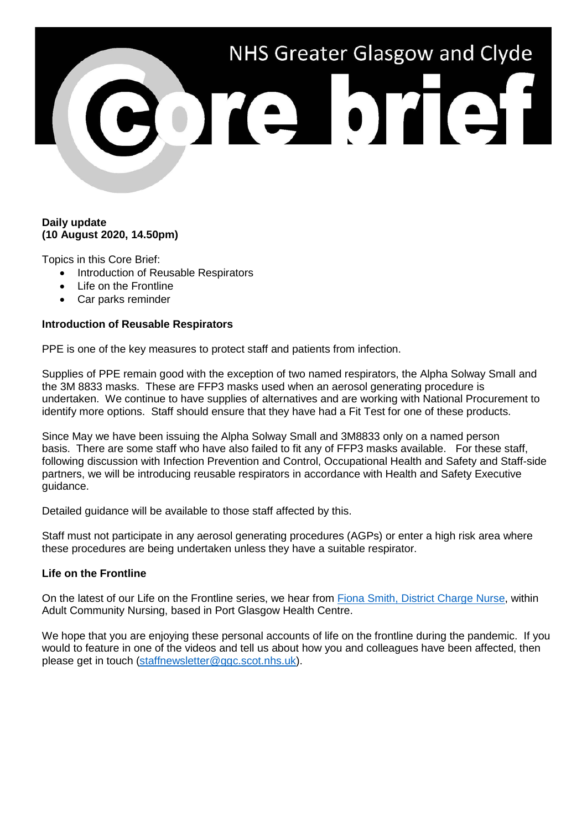# NHS Greater Glasgow and Clyde 3013101131

# **Daily update (10 August 2020, 14.50pm)**

Topics in this Core Brief:

- Introduction of Reusable Respirators
- Life on the Frontline
- Car parks reminder

# **Introduction of Reusable Respirators**

PPE is one of the key measures to protect staff and patients from infection.

Supplies of PPE remain good with the exception of two named respirators, the Alpha Solway Small and the 3M 8833 masks. These are FFP3 masks used when an aerosol generating procedure is undertaken. We continue to have supplies of alternatives and are working with National Procurement to identify more options. Staff should ensure that they have had a Fit Test for one of these products.

Since May we have been issuing the Alpha Solway Small and 3M8833 only on a named person basis. There are some staff who have also failed to fit any of FFP3 masks available. For these staff, following discussion with Infection Prevention and Control, Occupational Health and Safety and Staff-side partners, we will be introducing reusable respirators in accordance with Health and Safety Executive guidance.

Detailed guidance will be available to those staff affected by this.

Staff must not participate in any aerosol generating procedures (AGPs) or enter a high risk area where these procedures are being undertaken unless they have a suitable respirator.

### **Life on the Frontline**

On the latest of our Life on the Frontline series, we hear from [Fiona Smith, District Charge Nurse,](https://www.youtube.com/watch?v=ziNsiRoDYIE) within Adult Community Nursing, based in Port Glasgow Health Centre.

We hope that you are enjoying these personal accounts of life on the frontline during the pandemic. If you would to feature in one of the videos and tell us about how you and colleagues have been affected, then please get in touch [\(staffnewsletter@ggc.scot.nhs.uk\)](mailto:staffnewsletter@ggc.scot.nhs.uk).